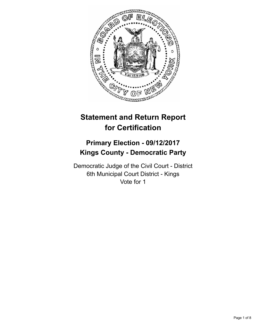

# **Statement and Return Report for Certification**

# **Primary Election - 09/12/2017 Kings County - Democratic Party**

Democratic Judge of the Civil Court - District 6th Municipal Court District - Kings Vote for 1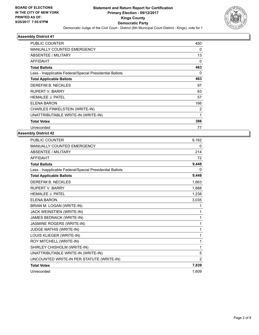

| PUBLIC COUNTER                                           | 450 |
|----------------------------------------------------------|-----|
| <b>MANUALLY COUNTED EMERGENCY</b>                        | 0   |
| ABSENTEE / MILITARY                                      | 13  |
| AFFIDAVIT                                                | 0   |
| <b>Total Ballots</b>                                     | 463 |
| Less - Inapplicable Federal/Special Presidential Ballots | 0   |
| <b>Total Applicable Ballots</b>                          | 463 |
| DEREFIM B. NECKLES                                       | 97  |
| RUPERT V. BARRY                                          | 63  |
| <b>HEMALEE J. PATEL</b>                                  | 57  |
| ELENA BARON                                              | 166 |
| CHARLES FINKELSTEIN (WRITE-IN)                           | 2   |
| UNATTRIBUTABLE WRITE-IN (WRITE-IN)                       | 1   |
| <b>Total Votes</b>                                       | 386 |
| Unrecorded                                               | 77  |

| <b>PUBLIC COUNTER</b>                                    | 9,162    |
|----------------------------------------------------------|----------|
| MANUALLY COUNTED EMERGENCY                               | 0        |
| <b>ABSENTEE / MILITARY</b>                               | 214      |
| <b>AFFIDAVIT</b>                                         | 72       |
| <b>Total Ballots</b>                                     | 9,448    |
| Less - Inapplicable Federal/Special Presidential Ballots | $\Omega$ |
| <b>Total Applicable Ballots</b>                          | 9,448    |
| <b>DEREFIM B. NECKLES</b>                                | 1,663    |
| <b>RUPERT V. BARRY</b>                                   | 1,888    |
| <b>HEMALEE J. PATEL</b>                                  | 1,238    |
| <b>ELENA BARON</b>                                       | 3,035    |
| BRIAN M. LOGAN (WRITE-IN)                                | 1        |
| JACK WEINSTIEN (WRITE-IN)                                | 1        |
| JAMES BEDNACK (WRITE-IN)                                 | 1        |
| JASMINE ROGERS (WRITE-IN)                                | 1        |
| JUDGE MATHIS (WRITE-IN)                                  | 1        |
| LOUIS KLIEGER (WRITE-IN)                                 | 1        |
| ROY MITCHELL (WRITE-IN)                                  | 1        |
| SHIRLEY CHISHOLM (WRITE-IN)                              | 1        |
| UNATTRIBUTABLE WRITE-IN (WRITE-IN)                       | 5        |
| UNCOUNTED WRITE-IN PER STATUTE (WRITE-IN)                | 2        |
| <b>Total Votes</b>                                       | 7,839    |
| Unrecorded                                               | 1,609    |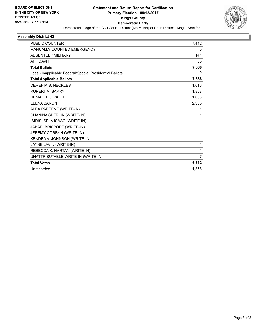

| <b>PUBLIC COUNTER</b>                                    | 7,442    |
|----------------------------------------------------------|----------|
| <b>MANUALLY COUNTED EMERGENCY</b>                        | 0        |
| <b>ABSENTEE / MILITARY</b>                               | 141      |
| <b>AFFIDAVIT</b>                                         | 85       |
| <b>Total Ballots</b>                                     | 7,668    |
| Less - Inapplicable Federal/Special Presidential Ballots | $\Omega$ |
| <b>Total Applicable Ballots</b>                          | 7,668    |
| <b>DEREFIM B. NECKLES</b>                                | 1,016    |
| <b>RUPERT V. BARRY</b>                                   | 1,858    |
| <b>HEMALEE J. PATEL</b>                                  | 1,038    |
| <b>ELENA BARON</b>                                       | 2,385    |
| ALEX PAREENE (WRITE-IN)                                  | 1        |
| CHANINA SPERLIN (WRITE-IN)                               | 1        |
| ISIRIS ISELA ISAAC (WRITE-IN)                            | 1        |
| JABARI BRISPORT (WRITE-IN)                               | 1        |
| JEREMY CORBYN (WRITE-IN)                                 | 1        |
| KENDEA A. JOHNSON (WRITE-IN)                             | 1        |
| LAYNE LAVIN (WRITE-IN)                                   | 1        |
| REBECCA K. HARTAN (WRITE-IN)                             | 1        |
| UNATTRIBUTABLE WRITE-IN (WRITE-IN)                       | 7        |
| <b>Total Votes</b>                                       | 6,312    |
| Unrecorded                                               | 1,356    |
|                                                          |          |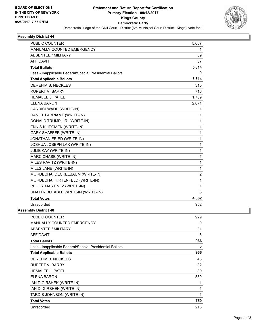

| <b>PUBLIC COUNTER</b>                                    | 5,687 |
|----------------------------------------------------------|-------|
| MANUALLY COUNTED EMERGENCY                               | 1     |
| ABSENTEE / MILITARY                                      | 89    |
| <b>AFFIDAVIT</b>                                         | 37    |
| <b>Total Ballots</b>                                     | 5,814 |
| Less - Inapplicable Federal/Special Presidential Ballots | 0     |
| <b>Total Applicable Ballots</b>                          | 5,814 |
| DEREFIM B. NECKLES                                       | 315   |
| <b>RUPERT V. BARRY</b>                                   | 716   |
| <b>HEMALEE J. PATEL</b>                                  | 1,739 |
| <b>ELENA BARON</b>                                       | 2,071 |
| CARDIGI WADE (WRITE-IN)                                  | 1     |
| DANIEL FABRIAMT (WRITE-IN)                               | 1     |
| DONALD TRUMP, JR. (WRITE-IN)                             | 1     |
| <b>ENNIS KLIEGMEN (WRITE-IN)</b>                         | 1     |
| <b>GARY SHAFFER (WRITE-IN)</b>                           | 1     |
| JONATHAN FRIED (WRITE-IN)                                | 1     |
| JOSHUA JOSEPH LAX (WRITE-IN)                             | 1     |
| JULIE KAY (WRITE-IN)                                     | 1     |
| MARC CHASE (WRITE-IN)                                    | 1     |
| MILES RAVITZ (WRITE-IN)                                  | 1     |
| MILLS LANE (WRITE-IN)                                    | 1     |
| MORDECHAI DECKELBAUM (WRITE-IN)                          | 2     |
| MORDECHAI HIRTENFELD (WRITE-IN)                          | 1     |
| PEGGY MARTINEZ (WRITE-IN)                                | 1     |
| UNATTRIBUTABLE WRITE-IN (WRITE-IN)                       | 6     |
| <b>Total Votes</b>                                       | 4,862 |
| Unrecorded                                               | 952   |
| bhr Dioteint 40                                          |       |

| <b>PUBLIC COUNTER</b>                                    | 929 |
|----------------------------------------------------------|-----|
| <b>MANUALLY COUNTED EMERGENCY</b>                        | 0   |
| ABSENTEE / MILITARY                                      | 31  |
| <b>AFFIDAVIT</b>                                         | 6   |
| <b>Total Ballots</b>                                     | 966 |
| Less - Inapplicable Federal/Special Presidential Ballots | 0   |
| <b>Total Applicable Ballots</b>                          | 966 |
| DEREFIM B. NECKLES                                       | 46  |
| <b>RUPERT V. BARRY</b>                                   | 82  |
| <b>HEMALEE J. PATEL</b>                                  | 89  |
| ELENA BARON                                              | 530 |
| IAN D GIRSHEK (WRITE-IN)                                 | 1   |
| IAN D. GIRSHEK (WRITE-IN)                                | 1   |
| TARDIS JOHNSON (WRITE-IN)                                | 1   |
| <b>Total Votes</b>                                       | 750 |
| Unrecorded                                               | 216 |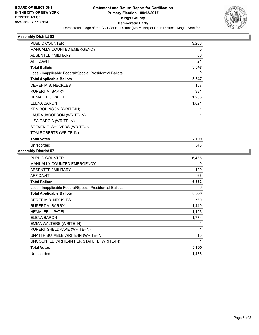

| PUBLIC COUNTER                                           | 3,266        |
|----------------------------------------------------------|--------------|
| <b>MANUALLY COUNTED EMERGENCY</b>                        | $\mathbf{0}$ |
| ABSENTEE / MILITARY                                      | 60           |
| <b>AFFIDAVIT</b>                                         | 21           |
| <b>Total Ballots</b>                                     | 3,347        |
| Less - Inapplicable Federal/Special Presidential Ballots | $\Omega$     |
| <b>Total Applicable Ballots</b>                          | 3,347        |
| DEREFIM B. NECKLES                                       | 157          |
| <b>RUPERT V. BARRY</b>                                   | 381          |
| <b>HEMALEE J. PATEL</b>                                  | 1,235        |
| <b>ELENA BARON</b>                                       | 1,021        |
| <b>KEN ROBINSON (WRITE-IN)</b>                           | 1            |
| LAURA JACOBSON (WRITE-IN)                                | 1            |
| LISA GARCIA (WRITE-IN)                                   | 1            |
| STEVEN E. SHOVERS (WRITE-IN)                             | 1            |
| TOM ROBERTS (WRITE-IN)                                   | 1            |
| <b>Total Votes</b>                                       | 2,799        |
| Unrecorded                                               | 548          |
|                                                          |              |

| <b>PUBLIC COUNTER</b>                                    | 6,438 |
|----------------------------------------------------------|-------|
| MANUALLY COUNTED EMERGENCY                               | 0     |
| ABSENTEE / MILITARY                                      | 129   |
| <b>AFFIDAVIT</b>                                         | 66    |
| <b>Total Ballots</b>                                     | 6,633 |
| Less - Inapplicable Federal/Special Presidential Ballots | 0     |
| <b>Total Applicable Ballots</b>                          | 6,633 |
| DEREFIM B. NECKLES                                       | 730   |
| <b>RUPERT V. BARRY</b>                                   | 1,440 |
| <b>HEMALEE J. PATEL</b>                                  | 1,193 |
| ELENA BARON                                              | 1,774 |
| EMMA WALTERS (WRITE-IN)                                  | 1     |
| RUPERT SHELDRAKE (WRITE-IN)                              | 1     |
| UNATTRIBUTABLE WRITE-IN (WRITE-IN)                       | 15    |
| UNCOUNTED WRITE-IN PER STATUTE (WRITE-IN)                | 1     |
| <b>Total Votes</b>                                       | 5,155 |
| Unrecorded                                               | 1,478 |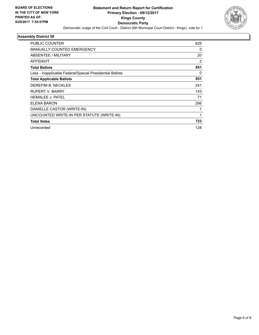

| <b>PUBLIC COUNTER</b>                                    | 829 |
|----------------------------------------------------------|-----|
| <b>MANUALLY COUNTED EMERGENCY</b>                        | 0   |
| ABSENTEE / MILITARY                                      | 20  |
| <b>AFFIDAVIT</b>                                         | 2   |
| <b>Total Ballots</b>                                     | 851 |
| Less - Inapplicable Federal/Special Presidential Ballots | 0   |
| <b>Total Applicable Ballots</b>                          | 851 |
| DEREFIM B. NECKLES                                       | 241 |
| RUPERT V. BARRY                                          | 143 |
| <b>HEMALEE J. PATEL</b>                                  | 71  |
| ELENA BARON                                              | 266 |
| DANIELLE CASTOR (WRITE-IN)                               |     |
| UNCOUNTED WRITE-IN PER STATUTE (WRITE-IN)                | 1   |
| <b>Total Votes</b>                                       | 723 |
| Unrecorded                                               | 128 |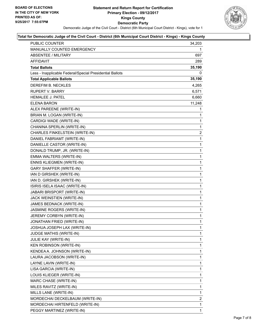

## **Total for Democratic Judge of the Civil Court - District (6th Municipal Court District - Kings) - Kings County**

| <b>PUBLIC COUNTER</b>                                    | 34,203       |
|----------------------------------------------------------|--------------|
| MANUALLY COUNTED EMERGENCY                               | 1            |
| <b>ABSENTEE / MILITARY</b>                               | 697          |
| AFFIDAVIT                                                | 289          |
| <b>Total Ballots</b>                                     | 35,190       |
| Less - Inapplicable Federal/Special Presidential Ballots | 0            |
| <b>Total Applicable Ballots</b>                          | 35,190       |
| DEREFIM B. NECKLES                                       | 4,265        |
| <b>RUPERT V. BARRY</b>                                   | 6,571        |
| <b>HEMALEE J. PATEL</b>                                  | 6,660        |
| ELENA BARON                                              | 11,248       |
| ALEX PAREENE (WRITE-IN)                                  | 1            |
| BRIAN M. LOGAN (WRITE-IN)                                | 1            |
| CARDIGI WADE (WRITE-IN)                                  | 1            |
| CHANINA SPERLIN (WRITE-IN)                               | 1            |
| CHARLES FINKELSTEIN (WRITE-IN)                           | 2            |
| DANIEL FABRIAMT (WRITE-IN)                               | 1            |
| DANIELLE CASTOR (WRITE-IN)                               | 1            |
| DONALD TRUMP, JR. (WRITE-IN)                             | $\mathbf 1$  |
| EMMA WALTERS (WRITE-IN)                                  | $\mathbf{1}$ |
| <b>ENNIS KLIEGMEN (WRITE-IN)</b>                         | 1            |
| <b>GARY SHAFFER (WRITE-IN)</b>                           | 1            |
| IAN D GIRSHEK (WRITE-IN)                                 | 1            |
| IAN D. GIRSHEK (WRITE-IN)                                | 1            |
| ISIRIS ISELA ISAAC (WRITE-IN)                            | $\mathbf 1$  |
| JABARI BRISPORT (WRITE-IN)                               | $\mathbf{1}$ |
| JACK WEINSTIEN (WRITE-IN)                                | 1            |
| JAMES BEDNACK (WRITE-IN)                                 | 1            |
| JASMINE ROGERS (WRITE-IN)                                | 1            |
| JEREMY CORBYN (WRITE-IN)                                 | 1            |
| JONATHAN FRIED (WRITE-IN)                                | 1            |
| JOSHUA JOSEPH LAX (WRITE-IN)                             | $\mathbf{1}$ |
| JUDGE MATHIS (WRITE-IN)                                  | 1            |
| JULIE KAY (WRITE-IN)                                     | 1            |
| <b>KEN ROBINSON (WRITE-IN)</b>                           | 1            |
| KENDEA A. JOHNSON (WRITE-IN)                             | 1            |
| LAURA JACOBSON (WRITE-IN)                                | 1            |
| LAYNE LAVIN (WRITE-IN)                                   | 1            |
| LISA GARCIA (WRITE-IN)                                   | 1            |
| LOUIS KLIEGER (WRITE-IN)                                 | 1            |
| MARC CHASE (WRITE-IN)                                    | 1            |
| MILES RAVITZ (WRITE-IN)                                  | 1            |
| MILLS LANE (WRITE-IN)                                    | 1            |
| MORDECHAI DECKELBAUM (WRITE-IN)                          | 2            |
| MORDECHAI HIRTENFELD (WRITE-IN)                          | 1            |
| PEGGY MARTINEZ (WRITE-IN)                                | $\mathbf{1}$ |